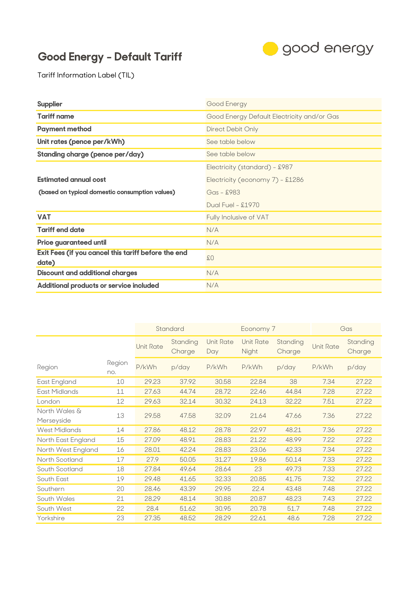## **Good Energy - Default Tariff**



Tariff Information Label (TIL)

| <b>Supplier</b>                                     | Good Energy                                |  |  |  |
|-----------------------------------------------------|--------------------------------------------|--|--|--|
| <b>Tariff name</b>                                  | Good Energy Default Electricity and/or Gas |  |  |  |
| <b>Payment method</b>                               | Direct Debit Only                          |  |  |  |
| Unit rates (pence per/kWh)                          | See table below                            |  |  |  |
| <b>Standing charge (pence per/day)</b>              | See table below                            |  |  |  |
|                                                     | Electricity (standard) - £987              |  |  |  |
| <b>Estimated annual cost</b>                        | Electricity (economy 7) - £1286            |  |  |  |
| (based on typical domestic consumption values)      | $Gas - $983$                               |  |  |  |
|                                                     | Dual Fuel - £1970                          |  |  |  |
| <b>VAT</b>                                          | Fully Inclusive of VAT                     |  |  |  |
| <b>Tariff end date</b>                              | N/A                                        |  |  |  |
| <b>Price guaranteed until</b>                       | N/A                                        |  |  |  |
| Exit Fees (if you cancel this tariff before the end | \$0                                        |  |  |  |
| date)                                               |                                            |  |  |  |
| <b>Discount and additional charges</b>              | N/A                                        |  |  |  |
| Additional products or service included             | N/A                                        |  |  |  |

|                             |               | Standard<br>Economy 7 |                    | Gas                     |                           |                    |                  |                    |
|-----------------------------|---------------|-----------------------|--------------------|-------------------------|---------------------------|--------------------|------------------|--------------------|
|                             |               | <b>Unit Rate</b>      | Standing<br>Charge | <b>Unit Rate</b><br>Day | <b>Unit Rate</b><br>Night | Standing<br>Charge | <b>Unit Rate</b> | Standing<br>Charge |
| Region                      | Region<br>no. | P/kWh                 | p/day              | P/kWh                   | P/kWh                     | p/day              | P/kWh            | p/day              |
| East England                | 10            | 29.23                 | 37.92              | 30.58                   | 22.84                     | 38                 | 7.34             | 27.22              |
| East Midlands               | 11            | 27.63                 | 44.74              | 28.72                   | 22.46                     | 44.84              | 7.28             | 27.22              |
| London                      | 12            | 29.63                 | 32.14              | 30.32                   | 24.13                     | 32.22              | 7.51             | 27.22              |
| North Wales &<br>Merseyside | 13            | 29.58                 | 47.58              | 32.09                   | 21.64                     | 47.66              | 7.36             | 27.22              |
| West Midlands               | 14            | 27.86                 | 48.12              | 28.78                   | 22.97                     | 48.21              | 7.36             | 27.22              |
| North East England          | 15            | 27.09                 | 48.91              | 28.83                   | 21.22                     | 48.99              | 7.22             | 27.22              |
| North West England          | 16            | 28.01                 | 42.24              | 28.83                   | 23.06                     | 42.33              | 7.34             | 27.22              |
| North Scotland              | 17            | 27.9                  | 50.05              | 31.27                   | 19.86                     | 50.14              | 7.33             | 27.22              |
| South Scotland              | 18            | 27.84                 | 49.64              | 28.64                   | 23                        | 49.73              | 7.33             | 27.22              |
| South East                  | 19            | 29.48                 | 41.65              | 32.33                   | 20.85                     | 41.75              | 7.32             | 27.22              |
| Southern                    | 20            | 28.46                 | 43.39              | 29.95                   | 22.4                      | 43.48              | 7.48             | 27.22              |
| South Wales                 | 21            | 28.29                 | 48.14              | 30.88                   | 20.87                     | 48.23              | 7.43             | 27.22              |
| South West                  | 22            | 28.4                  | 51.62              | 30.95                   | 20.78                     | 51.7               | 7.48             | 27.22              |
| Yorkshire                   | 23            | 27.35                 | 48.52              | 28.29                   | 22.61                     | 48.6               | 7.28             | 27.22              |